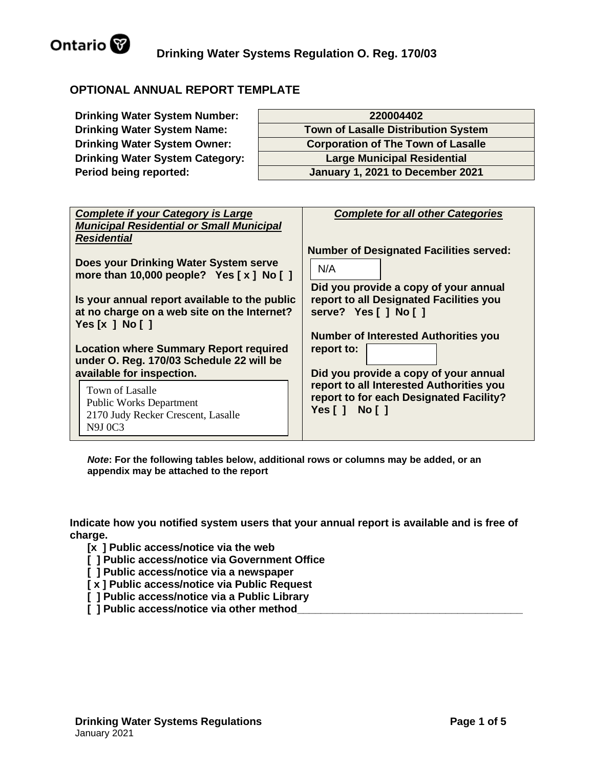

# **OPTIONAL ANNUAL REPORT TEMPLATE**

| <b>Drinking Water System Number:</b>   | 220004402                                  |
|----------------------------------------|--------------------------------------------|
| <b>Drinking Water System Name:</b>     | <b>Town of Lasalle Distribution System</b> |
| <b>Drinking Water System Owner:</b>    | <b>Corporation of The Town of Lasalle</b>  |
| <b>Drinking Water System Category:</b> | <b>Large Municipal Residential</b>         |
| Period being reported:                 | January 1, 2021 to December 2021           |

| <b>Complete if your Category is Large</b>       | <b>Complete for all other Categories</b>       |
|-------------------------------------------------|------------------------------------------------|
| <b>Municipal Residential or Small Municipal</b> |                                                |
| <b>Residential</b>                              |                                                |
|                                                 |                                                |
|                                                 | <b>Number of Designated Facilities served:</b> |
| Does your Drinking Water System serve           |                                                |
| more than 10,000 people? Yes $[x]$ No $[ ]$     | N/A                                            |
|                                                 |                                                |
|                                                 | Did you provide a copy of your annual          |
| Is your annual report available to the public   | report to all Designated Facilities you        |
| at no charge on a web site on the Internet?     | serve? Yes [ ] No [ ]                          |
|                                                 |                                                |
| Yes $[x \, ]$ No $[$ $]$                        |                                                |
|                                                 | <b>Number of Interested Authorities you</b>    |
| <b>Location where Summary Report required</b>   | report to:                                     |
| under O. Reg. 170/03 Schedule 22 will be        |                                                |
|                                                 |                                                |
| available for inspection.                       | Did you provide a copy of your annual          |
| Town of Lasalle                                 | report to all Interested Authorities you       |
|                                                 | report to for each Designated Facility?        |
| <b>Public Works Department</b>                  | Yes[] No[]                                     |
| 2170 Judy Recker Crescent, Lasalle              |                                                |
| N9J 0C3                                         |                                                |
|                                                 |                                                |

*Note***: For the following tables below, additional rows or columns may be added, or an appendix may be attached to the report**

**Indicate how you notified system users that your annual report is available and is free of charge.** 

- **[x ] Public access/notice via the web**
- **[ ] Public access/notice via Government Office**
- **[ ] Public access/notice via a newspaper**
- **[ x ] Public access/notice via Public Request**
- **[ ] Public access/notice via a Public Library**
- **[ ] Public access/notice via other method**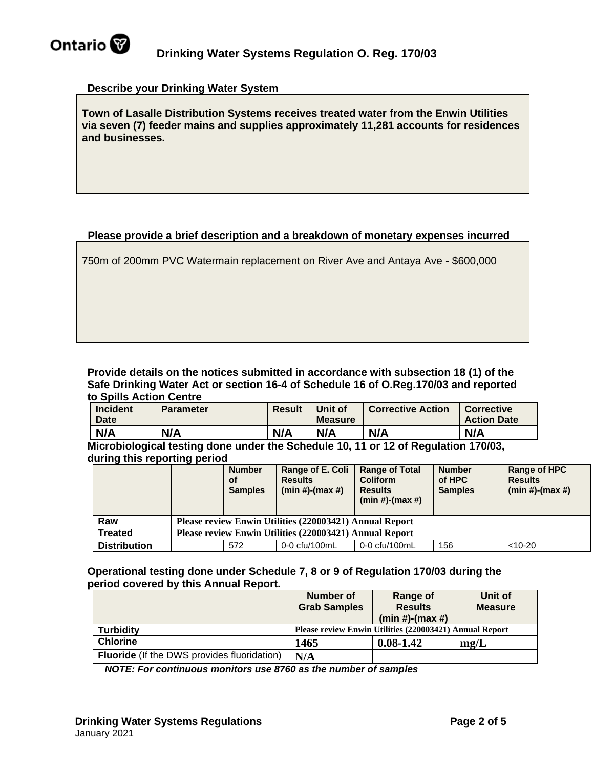

## **Describe your Drinking Water System**

**Town of Lasalle Distribution Systems receives treated water from the Enwin Utilities via seven (7) feeder mains and supplies approximately 11,281 accounts for residences and businesses.**

# **Please provide a brief description and a breakdown of monetary expenses incurred**

750m of 200mm PVC Watermain replacement on River Ave and Antaya Ave - \$600,000

**Provide details on the notices submitted in accordance with subsection 18 (1) of the Safe Drinking Water Act or section 16-4 of Schedule 16 of O.Reg.170/03 and reported to Spills Action Centre** 

| <b>Incident</b><br><b>Date</b> | Parameter | <b>Result</b> | Unit of<br><b>Measure</b> | <b>Corrective Action</b> | Corrective<br><b>Action Date</b> |
|--------------------------------|-----------|---------------|---------------------------|--------------------------|----------------------------------|
| N/A                            | N/A       | N/A           | N/A                       | N/A                      | N/A                              |

**Microbiological testing done under the Schedule 10, 11 or 12 of Regulation 170/03, during this reporting period**

|                     | - -                                                     | <b>Number</b><br><b>of</b><br><b>Samples</b> | Range of E. Coli<br><b>Results</b><br>$(min #)-(max #)$ | <b>Range of Total</b><br><b>Coliform</b><br><b>Results</b><br>$(min#)-(max#)$ | <b>Number</b><br>of HPC<br><b>Samples</b> | Range of HPC<br><b>Results</b><br>$(min#)-(max#)$ |
|---------------------|---------------------------------------------------------|----------------------------------------------|---------------------------------------------------------|-------------------------------------------------------------------------------|-------------------------------------------|---------------------------------------------------|
| Raw                 |                                                         |                                              | Please review Enwin Utilities (220003421) Annual Report |                                                                               |                                           |                                                   |
| <b>Treated</b>      | Please review Enwin Utilities (220003421) Annual Report |                                              |                                                         |                                                                               |                                           |                                                   |
| <b>Distribution</b> |                                                         | 572                                          | 0-0 cfu/100mL                                           | 0-0 cfu/100mL                                                                 | 156                                       | $< 10 - 20$                                       |

**Operational testing done under Schedule 7, 8 or 9 of Regulation 170/03 during the period covered by this Annual Report.**

|                                                    | Number of<br><b>Grab Samples</b>                        | Range of<br><b>Results</b> | Unit of<br><b>Measure</b> |  |  |
|----------------------------------------------------|---------------------------------------------------------|----------------------------|---------------------------|--|--|
|                                                    |                                                         | $(min#)-(max#)$            |                           |  |  |
| <b>Turbidity</b>                                   | Please review Enwin Utilities (220003421) Annual Report |                            |                           |  |  |
| <b>Chlorine</b>                                    | 1465                                                    | $0.08 - 1.42$              | mg/L                      |  |  |
| <b>Fluoride</b> (If the DWS provides fluoridation) | N/A                                                     |                            |                           |  |  |

*NOTE: For continuous monitors use 8760 as the number of samples*